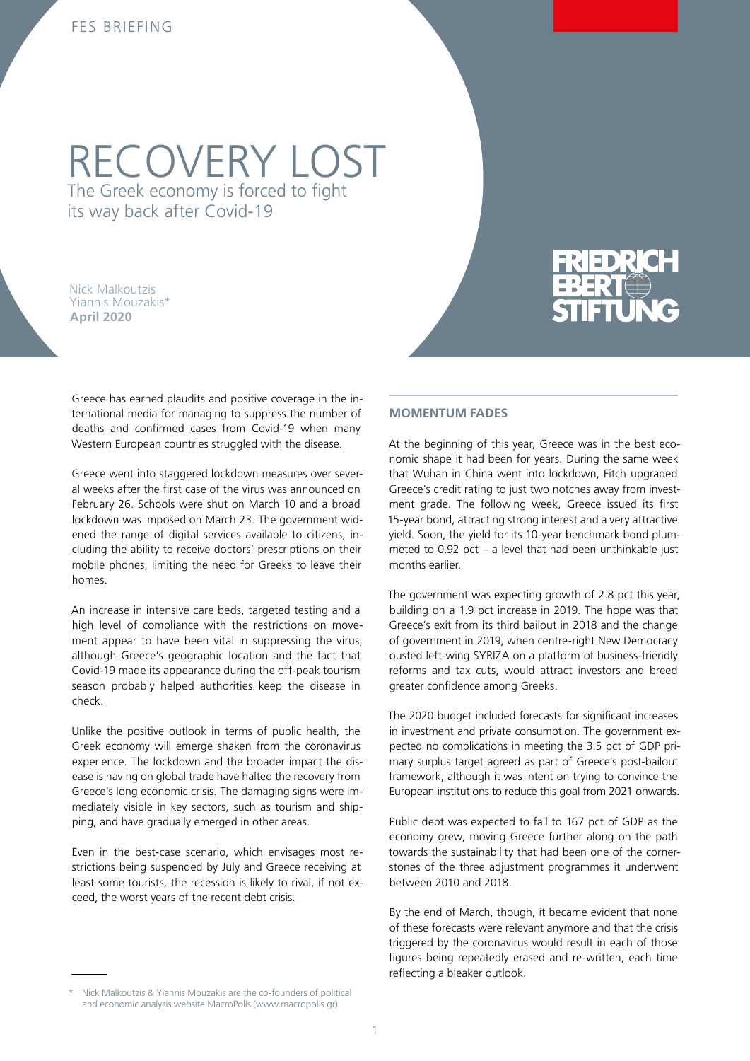# RECOVERY LOST The Greek economy is forced to fight

its way back after Covid-19

Nick Malkoutzis Yiannis Mouzakis\* **April 2020**

Greece has earned plaudits and positive coverage in the international media for managing to suppress the number of deaths and confirmed cases from Covid-19 when many Western European countries struggled with the disease.

Greece went into staggered lockdown measures over several weeks after the first case of the virus was announced on February 26. Schools were shut on March 10 and a broad lockdown was imposed on March 23. The government widened the range of digital services available to citizens, including the ability to receive doctors' prescriptions on their mobile phones, limiting the need for Greeks to leave their homes.

An increase in intensive care beds, targeted testing and a high level of compliance with the restrictions on movement appear to have been vital in suppressing the virus, although Greece's geographic location and the fact that Covid-19 made its appearance during the off-peak tourism season probably helped authorities keep the disease in check.

Unlike the positive outlook in terms of public health, the Greek economy will emerge shaken from the coronavirus experience. The lockdown and the broader impact the disease is having on global trade have halted the recovery from Greece's long economic crisis. The damaging signs were immediately visible in key sectors, such as tourism and shipping, and have gradually emerged in other areas.

Even in the best-case scenario, which envisages most restrictions being suspended by July and Greece receiving at least some tourists, the recession is likely to rival, if not exceed, the worst years of the recent debt crisis.

#### \* Nick Malkoutzis & Yiannis Mouzakis are the co-founders of political and economic analysis website MacroPolis (www.macropolis.gr)

#### **MOMENTUM FADES**

At the beginning of this year, Greece was in the best economic shape it had been for years. During the same week that Wuhan in China went into lockdown, Fitch upgraded Greece's credit rating to just two notches away from investment grade. The following week, Greece issued its first 15-year bond, attracting strong interest and a very attractive yield. Soon, the yield for its 10-year benchmark bond plummeted to 0.92 pct – a level that had been unthinkable just months earlier.

The government was expecting growth of 2.8 pct this year, building on a 1.9 pct increase in 2019. The hope was that Greece's exit from its third bailout in 2018 and the change of government in 2019, when centre-right New Democracy ousted left-wing SYRIZA on a platform of business-friendly reforms and tax cuts, would attract investors and breed greater confidence among Greeks.

The 2020 budget included forecasts for significant increases in investment and private consumption. The government expected no complications in meeting the 3.5 pct of GDP primary surplus target agreed as part of Greece's post-bailout framework, although it was intent on trying to convince the European institutions to reduce this goal from 2021 onwards.

Public debt was expected to fall to 167 pct of GDP as the economy grew, moving Greece further along on the path towards the sustainability that had been one of the cornerstones of the three adjustment programmes it underwent between 2010 and 2018.

By the end of March, though, it became evident that none of these forecasts were relevant anymore and that the crisis triggered by the coronavirus would result in each of those figures being repeatedly erased and re-written, each time reflecting a bleaker outlook.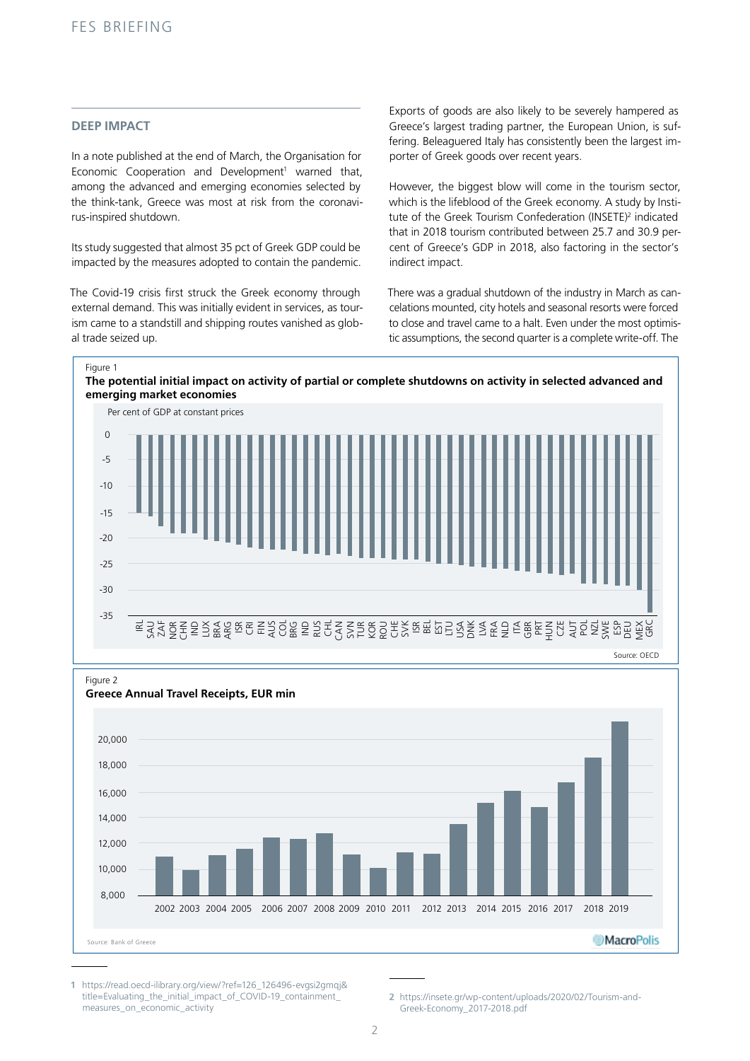#### **DEEP IMPACT**

In a note published at the end of March, the Organisation for Economic Cooperation and Development<sup>1</sup> warned that, among the advanced and emerging economies selected by the think-tank, Greece was most at risk from the coronavirus-inspired shutdown.

Its study suggested that almost 35 pct of Greek GDP could be impacted by the measures adopted to contain the pandemic.

The Covid-19 crisis first struck the Greek economy through external demand. This was initially evident in services, as tourism came to a standstill and shipping routes vanished as global trade seized up.

Exports of goods are also likely to be severely hampered as Greece's largest trading partner, the European Union, is suffering. Beleaguered Italy has consistently been the largest importer of Greek goods over recent years.

However, the biggest blow will come in the tourism sector, which is the lifeblood of the Greek economy. A study by Institute of the Greek Tourism Confederation (INSETE)<sup>2</sup> indicated that in 2018 tourism contributed between 25.7 and 30.9 percent of Greece's GDP in 2018, also factoring in the sector's indirect impact.

There was a gradual shutdown of the industry in March as cancelations mounted, city hotels and seasonal resorts were forced to close and travel came to a halt. Even under the most optimistic assumptions, the second quarter is a complete write-off. The

Figure 1





Figure 2



**1** https://read.oecd-ilibrary.org/view/?ref=126\_126496-evgsi2gmqj& title=Evaluating\_the\_initial\_impact\_of\_COVID-19\_containment\_ measures\_on\_economic\_activity

**<sup>2</sup>** https://insete.gr/wp-content/uploads/2020/02/Tourism-and-Greek-Economy\_2017-2018.pdf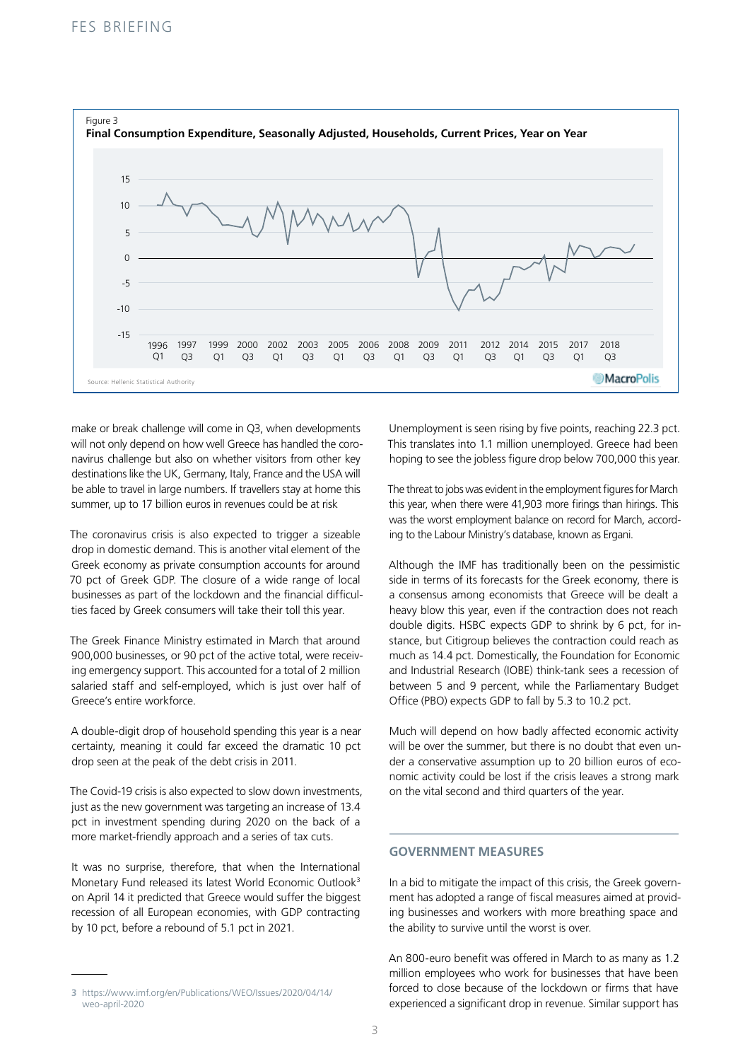

make or break challenge will come in Q3, when developments will not only depend on how well Greece has handled the coronavirus challenge but also on whether visitors from other key destinations like the UK, Germany, Italy, France and the USA will be able to travel in large numbers. If travellers stay at home this summer, up to 17 billion euros in revenues could be at risk

The coronavirus crisis is also expected to trigger a sizeable drop in domestic demand. This is another vital element of the Greek economy as private consumption accounts for around 70 pct of Greek GDP. The closure of a wide range of local businesses as part of the lockdown and the financial difficulties faced by Greek consumers will take their toll this year.

The Greek Finance Ministry estimated in March that around 900,000 businesses, or 90 pct of the active total, were receiving emergency support. This accounted for a total of 2 million salaried staff and self-employed, which is just over half of Greece's entire workforce.

A double-digit drop of household spending this year is a near certainty, meaning it could far exceed the dramatic 10 pct drop seen at the peak of the debt crisis in 2011.

The Covid-19 crisis is also expected to slow down investments, just as the new government was targeting an increase of 13.4 pct in investment spending during 2020 on the back of a more market-friendly approach and a series of tax cuts.

It was no surprise, therefore, that when the International Monetary Fund released its latest World Economic Outlook3 on April 14 it predicted that Greece would suffer the biggest recession of all European economies, with GDP contracting by 10 pct, before a rebound of 5.1 pct in 2021.

Unemployment is seen rising by five points, reaching 22.3 pct. This translates into 1.1 million unemployed. Greece had been hoping to see the jobless figure drop below 700,000 this year.

The threat to jobs was evident in the employment figures for March this year, when there were 41,903 more firings than hirings. This was the worst employment balance on record for March, according to the Labour Ministry's database, known as Ergani.

Although the IMF has traditionally been on the pessimistic side in terms of its forecasts for the Greek economy, there is a consensus among economists that Greece will be dealt a heavy blow this year, even if the contraction does not reach double digits. HSBC expects GDP to shrink by 6 pct, for instance, but Citigroup believes the contraction could reach as much as 14.4 pct. Domestically, the Foundation for Economic and Industrial Research (IOBE) think-tank sees a recession of between 5 and 9 percent, while the Parliamentary Budget Office (PBO) expects GDP to fall by 5.3 to 10.2 pct.

Much will depend on how badly affected economic activity will be over the summer, but there is no doubt that even under a conservative assumption up to 20 billion euros of economic activity could be lost if the crisis leaves a strong mark on the vital second and third quarters of the year.

## **GOVERNMENT MEASURES**

In a bid to mitigate the impact of this crisis, the Greek government has adopted a range of fiscal measures aimed at providing businesses and workers with more breathing space and the ability to survive until the worst is over.

An 800-euro benefit was offered in March to as many as 1.2 million employees who work for businesses that have been forced to close because of the lockdown or firms that have experienced a significant drop in revenue. Similar support has

**<sup>3</sup>** https://www.imf.org/en/Publications/WEO/Issues/2020/04/14/ weo-april-2020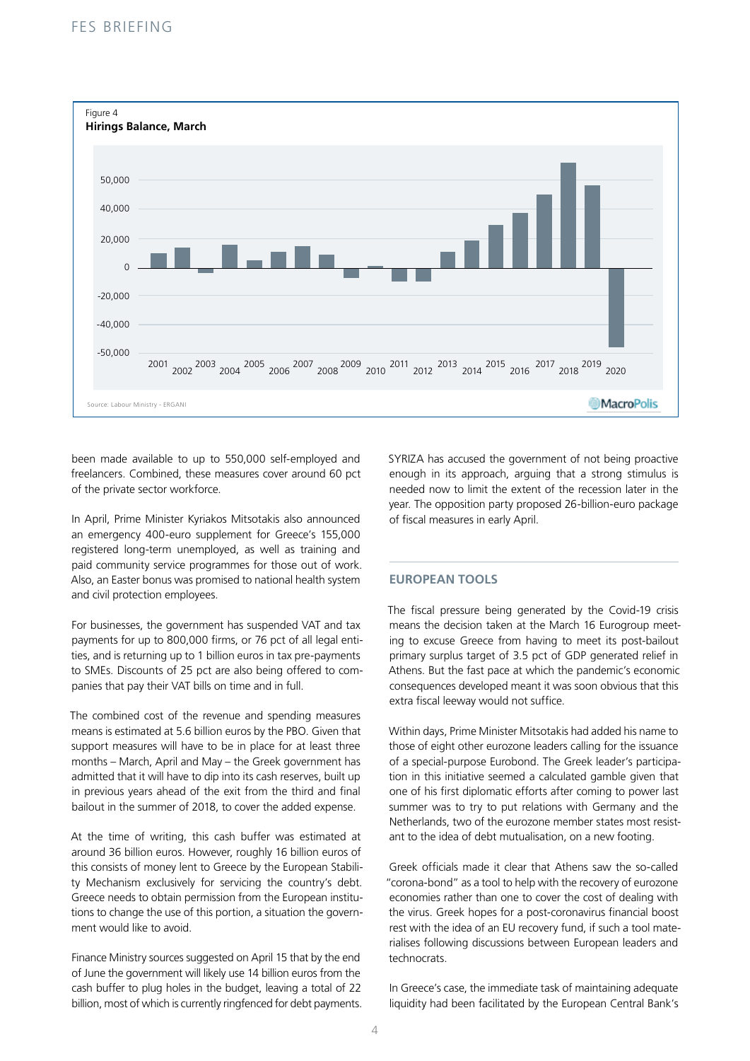

been made available to up to 550,000 self-employed and freelancers. Combined, these measures cover around 60 pct of the private sector workforce.

In April, Prime Minister Kyriakos Mitsotakis also announced an emergency 400-euro supplement for Greece's 155,000 registered long-term unemployed, as well as training and paid community service programmes for those out of work. Also, an Easter bonus was promised to national health system and civil protection employees.

For businesses, the government has suspended VAT and tax payments for up to 800,000 firms, or 76 pct of all legal entities, and is returning up to 1 billion euros in tax pre-payments to SMEs. Discounts of 25 pct are also being offered to companies that pay their VAT bills on time and in full.

The combined cost of the revenue and spending measures means is estimated at 5.6 billion euros by the PBO. Given that support measures will have to be in place for at least three months – March, April and May – the Greek government has admitted that it will have to dip into its cash reserves, built up in previous years ahead of the exit from the third and final bailout in the summer of 2018, to cover the added expense.

At the time of writing, this cash buffer was estimated at around 36 billion euros. However, roughly 16 billion euros of this consists of money lent to Greece by the European Stability Mechanism exclusively for servicing the country's debt. Greece needs to obtain permission from the European institutions to change the use of this portion, a situation the government would like to avoid.

Finance Ministry sources suggested on April 15 that by the end of June the government will likely use 14 billion euros from the cash buffer to plug holes in the budget, leaving a total of 22 billion, most of which is currently ringfenced for debt payments. SYRIZA has accused the government of not being proactive enough in its approach, arguing that a strong stimulus is needed now to limit the extent of the recession later in the year. The opposition party proposed 26-billion-euro package of fiscal measures in early April.

#### **EUROPEAN TOOLS**

The fiscal pressure being generated by the Covid-19 crisis means the decision taken at the March 16 Eurogroup meeting to excuse Greece from having to meet its post-bailout primary surplus target of 3.5 pct of GDP generated relief in Athens. But the fast pace at which the pandemic's economic consequences developed meant it was soon obvious that this extra fiscal leeway would not suffice.

Within days, Prime Minister Mitsotakis had added his name to those of eight other eurozone leaders calling for the issuance of a special-purpose Eurobond. The Greek leader's participation in this initiative seemed a calculated gamble given that one of his first diplomatic efforts after coming to power last summer was to try to put relations with Germany and the Netherlands, two of the eurozone member states most resistant to the idea of debt mutualisation, on a new footing.

Greek officials made it clear that Athens saw the so-called "corona-bond" as a tool to help with the recovery of eurozone economies rather than one to cover the cost of dealing with the virus. Greek hopes for a post-coronavirus financial boost rest with the idea of an EU recovery fund, if such a tool materialises following discussions between European leaders and technocrats.

In Greece's case, the immediate task of maintaining adequate liquidity had been facilitated by the European Central Bank's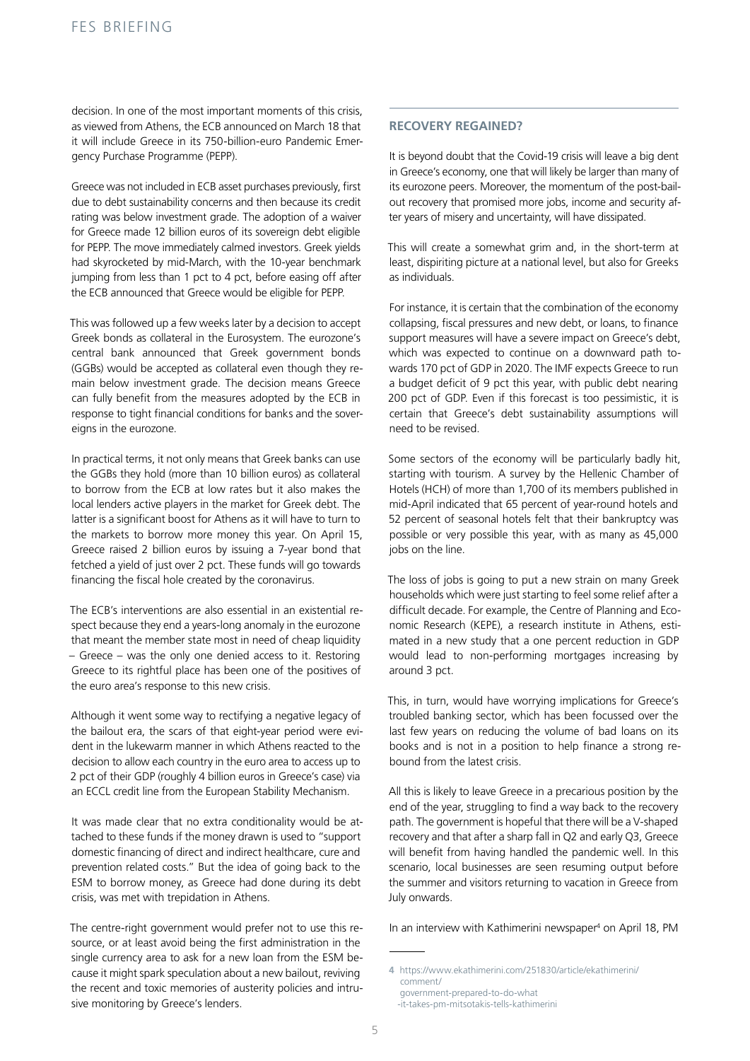decision. In one of the most important moments of this crisis, as viewed from Athens, the ECB announced on March 18 that it will include Greece in its 750-billion-euro Pandemic Emergency Purchase Programme (PEPP).

Greece was not included in ECB asset purchases previously, first due to debt sustainability concerns and then because its credit rating was below investment grade. The adoption of a waiver for Greece made 12 billion euros of its sovereign debt eligible for PEPP. The move immediately calmed investors. Greek yields had skyrocketed by mid-March, with the 10-year benchmark jumping from less than 1 pct to 4 pct, before easing off after the ECB announced that Greece would be eligible for PEPP.

This was followed up a few weeks later by a decision to accept Greek bonds as collateral in the Eurosystem. The eurozone's central bank announced that Greek government bonds (GGBs) would be accepted as collateral even though they remain below investment grade. The decision means Greece can fully benefit from the measures adopted by the ECB in response to tight financial conditions for banks and the sovereigns in the eurozone.

In practical terms, it not only means that Greek banks can use the GGBs they hold (more than 10 billion euros) as collateral to borrow from the ECB at low rates but it also makes the local lenders active players in the market for Greek debt. The latter is a significant boost for Athens as it will have to turn to the markets to borrow more money this year. On April 15, Greece raised 2 billion euros by issuing a 7-year bond that fetched a yield of just over 2 pct. These funds will go towards financing the fiscal hole created by the coronavirus.

The ECB's interventions are also essential in an existential respect because they end a years-long anomaly in the eurozone that meant the member state most in need of cheap liquidity – Greece – was the only one denied access to it. Restoring Greece to its rightful place has been one of the positives of the euro area's response to this new crisis.

Although it went some way to rectifying a negative legacy of the bailout era, the scars of that eight-year period were evident in the lukewarm manner in which Athens reacted to the decision to allow each country in the euro area to access up to 2 pct of their GDP (roughly 4 billion euros in Greece's case) via an ECCL credit line from the European Stability Mechanism.

It was made clear that no extra conditionality would be attached to these funds if the money drawn is used to "support domestic financing of direct and indirect healthcare, cure and prevention related costs." But the idea of going back to the ESM to borrow money, as Greece had done during its debt crisis, was met with trepidation in Athens.

The centre-right government would prefer not to use this resource, or at least avoid being the first administration in the single currency area to ask for a new loan from the ESM because it might spark speculation about a new bailout, reviving the recent and toxic memories of austerity policies and intrusive monitoring by Greece's lenders.

#### **RECOVERY REGAINED?**

It is beyond doubt that the Covid-19 crisis will leave a big dent in Greece's economy, one that will likely be larger than many of its eurozone peers. Moreover, the momentum of the post-bailout recovery that promised more jobs, income and security after years of misery and uncertainty, will have dissipated.

This will create a somewhat grim and, in the short-term at least, dispiriting picture at a national level, but also for Greeks as individuals.

For instance, it is certain that the combination of the economy collapsing, fiscal pressures and new debt, or loans, to finance support measures will have a severe impact on Greece's debt, which was expected to continue on a downward path towards 170 pct of GDP in 2020. The IMF expects Greece to run a budget deficit of 9 pct this year, with public debt nearing 200 pct of GDP. Even if this forecast is too pessimistic, it is certain that Greece's debt sustainability assumptions will need to be revised.

Some sectors of the economy will be particularly badly hit, starting with tourism. A survey by the Hellenic Chamber of Hotels (HCH) of more than 1,700 of its members published in mid-April indicated that 65 percent of year-round hotels and 52 percent of seasonal hotels felt that their bankruptcy was possible or very possible this year, with as many as 45,000 jobs on the line.

The loss of jobs is going to put a new strain on many Greek households which were just starting to feel some relief after a difficult decade. For example, the Centre of Planning and Economic Research (KEPE), a research institute in Athens, estimated in a new study that a one percent reduction in GDP would lead to non-performing mortgages increasing by around 3 pct.

This, in turn, would have worrying implications for Greece's troubled banking sector, which has been focussed over the last few years on reducing the volume of bad loans on its books and is not in a position to help finance a strong rebound from the latest crisis.

All this is likely to leave Greece in a precarious position by the end of the year, struggling to find a way back to the recovery path. The government is hopeful that there will be a V-shaped recovery and that after a sharp fall in Q2 and early Q3, Greece will benefit from having handled the pandemic well. In this scenario, local businesses are seen resuming output before the summer and visitors returning to vacation in Greece from July onwards.

In an interview with Kathimerini newspaper<sup>4</sup> on April 18, PM

-it-takes-pm-mitsotakis-tells-kathimerini

**<sup>4</sup>** https://www.ekathimerini.com/251830/article/ekathimerini/ comment/ government-prepared-to-do-what